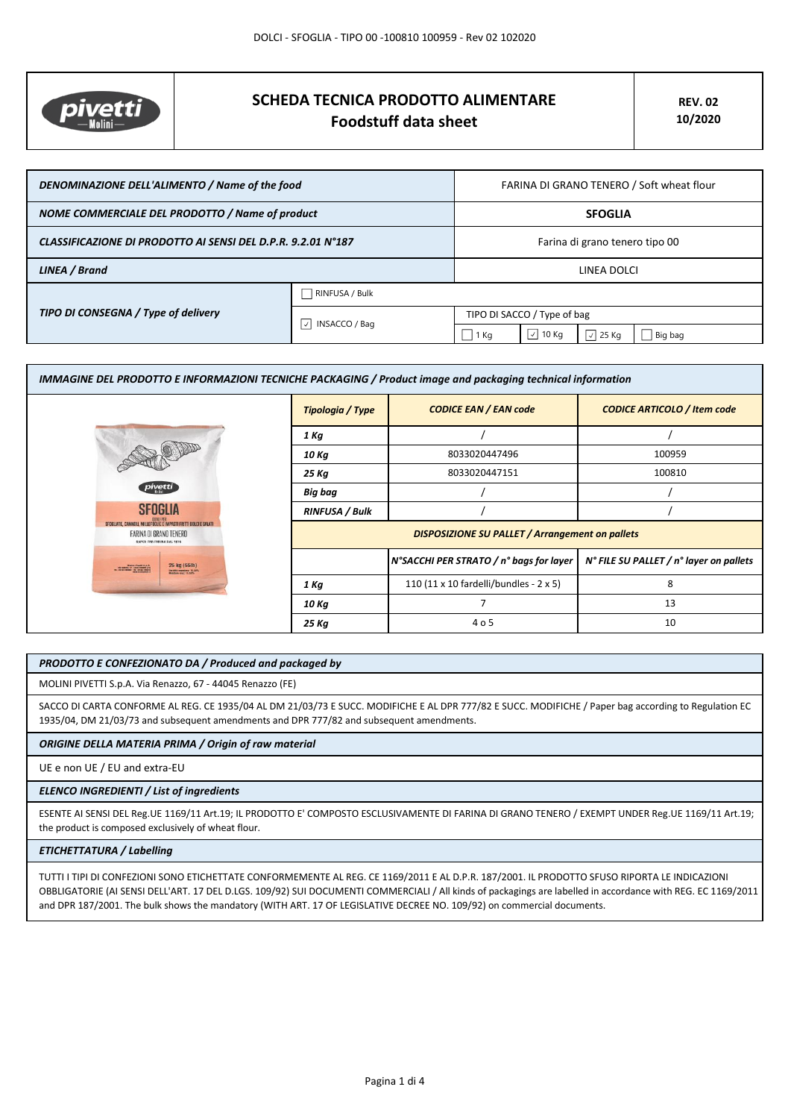

# **SCHEDA TECNICA PRODOTTO ALIMENTARE Foodstuff data sheet**

| DENOMINAZIONE DELL'ALIMENTO / Name of the food               |                           | FARINA DI GRANO TENERO / Soft wheat flour |                     |                  |
|--------------------------------------------------------------|---------------------------|-------------------------------------------|---------------------|------------------|
| NOME COMMERCIALE DEL PRODOTTO / Name of product              |                           | <b>SFOGLIA</b>                            |                     |                  |
| CLASSIFICAZIONE DI PRODOTTO AI SENSI DEL D.P.R. 9.2.01 N°187 |                           | Farina di grano tenero tipo 00            |                     |                  |
| LINEA / Brand                                                |                           | LINEA DOLCI                               |                     |                  |
|                                                              | RINFUSA / Bulk            |                                           |                     |                  |
| TIPO DI CONSEGNA / Type of delivery                          | INSACCO / Bag<br>$ \vee $ | TIPO DI SACCO / Type of bag               |                     |                  |
|                                                              |                           | 1 Kg                                      | $\vert \,$<br>10 Kg | $\sqrt{2}$ 25 Kg |

| IMMAGINE DEL PRODOTTO E INFORMAZIONI TECNICHE PACKAGING / Product image and packaging technical information |                                                        |                                         |                                         |
|-------------------------------------------------------------------------------------------------------------|--------------------------------------------------------|-----------------------------------------|-----------------------------------------|
|                                                                                                             | Tipologia / Type                                       | <b>CODICE EAN / EAN code</b>            | <b>CODICE ARTICOLO / Item code</b>      |
|                                                                                                             | 1 Kg                                                   |                                         |                                         |
|                                                                                                             | 10 Kg                                                  | 8033020447496                           | 100959                                  |
|                                                                                                             | 25 Kg                                                  | 8033020447151                           | 100810                                  |
| pivetti                                                                                                     | Big bag                                                |                                         |                                         |
| <b>SFOGLIA</b>                                                                                              | <b>RINFUSA / Bulk</b>                                  |                                         |                                         |
| <b>FOCUE E IMPASTI FRITTI DOLCI E SALATI</b><br>FARINA DI GRANO TENERO<br>SAPER FAR FARINA DAL 1875         | <b>DISPOSIZIONE SU PALLET / Arrangement on pallets</b> |                                         |                                         |
| 25 kg (55lb)<br>nidta mycolea: 11,52%                                                                       |                                                        | N°SACCHI PER STRATO / n° bags for layer | N° FILE SU PALLET / n° layer on pallets |
|                                                                                                             | 1 Kg                                                   | 110 (11 x 10 fardelli/bundles - 2 x 5)  | 8                                       |
|                                                                                                             | 10 Kg                                                  | 7                                       | 13                                      |
|                                                                                                             | 25 Kg                                                  | 4 o 5                                   | 10                                      |

### *PRODOTTO E CONFEZIONATO DA / Produced and packaged by*

MOLINI PIVETTI S.p.A. Via Renazzo, 67 - 44045 Renazzo (FE)

SACCO DI CARTA CONFORME AL REG. CE 1935/04 AL DM 21/03/73 E SUCC. MODIFICHE E AL DPR 777/82 E SUCC. MODIFICHE / Paper bag according to Regulation EC 1935/04, DM 21/03/73 and subsequent amendments and DPR 777/82 and subsequent amendments.

#### *ORIGINE DELLA MATERIA PRIMA / Origin of raw material*

UE e non UE / EU and extra-EU

### *ELENCO INGREDIENTI / List of ingredients*

ESENTE AI SENSI DEL Reg.UE 1169/11 Art.19; IL PRODOTTO E' COMPOSTO ESCLUSIVAMENTE DI FARINA DI GRANO TENERO / EXEMPT UNDER Reg.UE 1169/11 Art.19; the product is composed exclusively of wheat flour.

## *ETICHETTATURA / Labelling*

TUTTI I TIPI DI CONFEZIONI SONO ETICHETTATE CONFORMEMENTE AL REG. CE 1169/2011 E AL D.P.R. 187/2001. IL PRODOTTO SFUSO RIPORTA LE INDICAZIONI OBBLIGATORIE (AI SENSI DELL'ART. 17 DEL D.LGS. 109/92) SUI DOCUMENTI COMMERCIALI / All kinds of packagings are labelled in accordance with REG. EC 1169/2011 and DPR 187/2001. The bulk shows the mandatory (WITH ART. 17 OF LEGISLATIVE DECREE NO. 109/92) on commercial documents.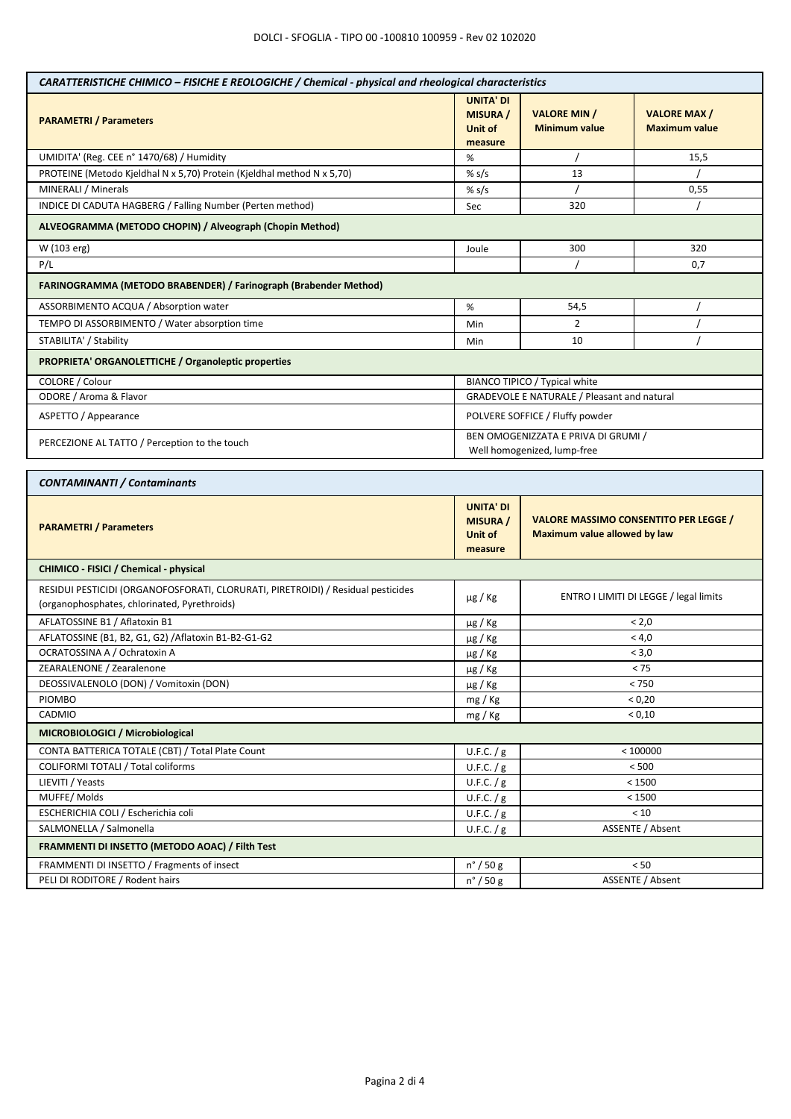| <b>UNITA' DI</b><br><b>VALORE MIN /</b><br><b>VALORE MAX/</b><br><b>MISURA</b> /<br><b>PARAMETRI / Parameters</b><br><b>Minimum value</b><br>Unit of<br><b>Maximum value</b><br>measure<br>UMIDITA' (Reg. CEE n° 1470/68) / Humidity<br>15,5<br>%<br>PROTEINE (Metodo Kjeldhal N x 5,70) Protein (Kjeldhal method N x 5,70)<br>13<br>% $s/s$<br>MINERALI / Minerals<br>% $s/s$<br>0,55<br>INDICE DI CADUTA HAGBERG / Falling Number (Perten method)<br>320<br>Sec<br>ALVEOGRAMMA (METODO CHOPIN) / Alveograph (Chopin Method)<br>W (103 erg)<br>300<br>320<br>Joule<br>P/L<br>0,7<br>FARINOGRAMMA (METODO BRABENDER) / Farinograph (Brabender Method)<br>ASSORBIMENTO ACQUA / Absorption water<br>%<br>54,5<br>TEMPO DI ASSORBIMENTO / Water absorption time<br>$\overline{2}$<br>Min<br>STABILITA' / Stability<br>10<br>Min<br>PROPRIETA' ORGANOLETTICHE / Organoleptic properties<br>COLORE / Colour<br>BIANCO TIPICO / Typical white<br>ODORE / Aroma & Flavor<br>GRADEVOLE E NATURALE / Pleasant and natural<br>ASPETTO / Appearance<br>POLVERE SOFFICE / Fluffy powder<br>BEN OMOGENIZZATA E PRIVA DI GRUMI /<br>PERCEZIONE AL TATTO / Perception to the touch<br>Well homogenized, lump-free<br><b>CONTAMINANTI / Contaminants</b><br><b>UNITA' DI</b><br><b>VALORE MASSIMO CONSENTITO PER LEGGE /</b><br><b>MISURA</b> /<br><b>PARAMETRI / Parameters</b><br><b>Maximum value allowed by law</b><br>Unit of<br>measure<br>CHIMICO - FISICI / Chemical - physical<br>RESIDUI PESTICIDI (ORGANOFOSFORATI, CLORURATI, PIRETROIDI) / Residual pesticides<br>ENTRO I LIMITI DI LEGGE / legal limits<br>$\mu$ g / Kg<br>(organophosphates, chlorinated, Pyrethroids)<br>AFLATOSSINE B1 / Aflatoxin B1<br>< 2,0<br>$\mu$ g / Kg<br>AFLATOSSINE (B1, B2, G1, G2) / Aflatoxin B1-B2-G1-G2<br>< 4,0<br>µg / Kg<br>OCRATOSSINA A / Ochratoxin A<br>< 3,0<br>$\mu$ g / Kg<br>ZEARALENONE / Zearalenone<br>$< 75$<br>$\mu$ g / Kg<br>DEOSSIVALENOLO (DON) / Vomitoxin (DON)<br>< 750<br>$\mu$ g / Kg<br>PIOMBO<br>< 0,20<br>mg / Kg<br>CADMIO<br>< 0,10<br>mg / Kg<br>MICROBIOLOGICI / Microbiological<br>CONTA BATTERICA TOTALE (CBT) / Total Plate Count<br>< 100000<br>U.F.C. $/g$<br><b>COLIFORMI TOTALI / Total coliforms</b><br>< 500<br>U.F.C. $/g$<br>LIEVITI / Yeasts<br>< 1500<br>U.F.C. $/g$<br>MUFFE/Molds<br>U.F.C. $/g$<br>< 1500<br>ESCHERICHIA COLI / Escherichia coli<br>U.F.C. / g<br>< 10<br>SALMONELLA / Salmonella<br>ASSENTE / Absent<br>U.F.C. $/g$<br>FRAMMENTI DI INSETTO (METODO AOAC) / Filth Test<br>FRAMMENTI DI INSETTO / Fragments of insect<br>< 50<br>$n^{\circ}$ / 50 g<br>PELI DI RODITORE / Rodent hairs<br>ASSENTE / Absent<br>$n^{\circ}$ / 50 g | CARATTERISTICHE CHIMICO - FISICHE E REOLOGICHE / Chemical - physical and rheological characteristics |  |  |  |  |
|----------------------------------------------------------------------------------------------------------------------------------------------------------------------------------------------------------------------------------------------------------------------------------------------------------------------------------------------------------------------------------------------------------------------------------------------------------------------------------------------------------------------------------------------------------------------------------------------------------------------------------------------------------------------------------------------------------------------------------------------------------------------------------------------------------------------------------------------------------------------------------------------------------------------------------------------------------------------------------------------------------------------------------------------------------------------------------------------------------------------------------------------------------------------------------------------------------------------------------------------------------------------------------------------------------------------------------------------------------------------------------------------------------------------------------------------------------------------------------------------------------------------------------------------------------------------------------------------------------------------------------------------------------------------------------------------------------------------------------------------------------------------------------------------------------------------------------------------------------------------------------------------------------------------------------------------------------------------------------------------------------------------------------------------------------------------------------------------------------------------------------------------------------------------------------------------------------------------------------------------------------------------------------------------------------------------------------------------------------------------------------------------------------------------------------------------------------------------------------------------------------------------------------------------------------------------------------------------------------------------------------------------------------------------------------|------------------------------------------------------------------------------------------------------|--|--|--|--|
|                                                                                                                                                                                                                                                                                                                                                                                                                                                                                                                                                                                                                                                                                                                                                                                                                                                                                                                                                                                                                                                                                                                                                                                                                                                                                                                                                                                                                                                                                                                                                                                                                                                                                                                                                                                                                                                                                                                                                                                                                                                                                                                                                                                                                                                                                                                                                                                                                                                                                                                                                                                                                                                                                  |                                                                                                      |  |  |  |  |
|                                                                                                                                                                                                                                                                                                                                                                                                                                                                                                                                                                                                                                                                                                                                                                                                                                                                                                                                                                                                                                                                                                                                                                                                                                                                                                                                                                                                                                                                                                                                                                                                                                                                                                                                                                                                                                                                                                                                                                                                                                                                                                                                                                                                                                                                                                                                                                                                                                                                                                                                                                                                                                                                                  |                                                                                                      |  |  |  |  |
|                                                                                                                                                                                                                                                                                                                                                                                                                                                                                                                                                                                                                                                                                                                                                                                                                                                                                                                                                                                                                                                                                                                                                                                                                                                                                                                                                                                                                                                                                                                                                                                                                                                                                                                                                                                                                                                                                                                                                                                                                                                                                                                                                                                                                                                                                                                                                                                                                                                                                                                                                                                                                                                                                  |                                                                                                      |  |  |  |  |
|                                                                                                                                                                                                                                                                                                                                                                                                                                                                                                                                                                                                                                                                                                                                                                                                                                                                                                                                                                                                                                                                                                                                                                                                                                                                                                                                                                                                                                                                                                                                                                                                                                                                                                                                                                                                                                                                                                                                                                                                                                                                                                                                                                                                                                                                                                                                                                                                                                                                                                                                                                                                                                                                                  |                                                                                                      |  |  |  |  |
|                                                                                                                                                                                                                                                                                                                                                                                                                                                                                                                                                                                                                                                                                                                                                                                                                                                                                                                                                                                                                                                                                                                                                                                                                                                                                                                                                                                                                                                                                                                                                                                                                                                                                                                                                                                                                                                                                                                                                                                                                                                                                                                                                                                                                                                                                                                                                                                                                                                                                                                                                                                                                                                                                  |                                                                                                      |  |  |  |  |
|                                                                                                                                                                                                                                                                                                                                                                                                                                                                                                                                                                                                                                                                                                                                                                                                                                                                                                                                                                                                                                                                                                                                                                                                                                                                                                                                                                                                                                                                                                                                                                                                                                                                                                                                                                                                                                                                                                                                                                                                                                                                                                                                                                                                                                                                                                                                                                                                                                                                                                                                                                                                                                                                                  |                                                                                                      |  |  |  |  |
|                                                                                                                                                                                                                                                                                                                                                                                                                                                                                                                                                                                                                                                                                                                                                                                                                                                                                                                                                                                                                                                                                                                                                                                                                                                                                                                                                                                                                                                                                                                                                                                                                                                                                                                                                                                                                                                                                                                                                                                                                                                                                                                                                                                                                                                                                                                                                                                                                                                                                                                                                                                                                                                                                  |                                                                                                      |  |  |  |  |
|                                                                                                                                                                                                                                                                                                                                                                                                                                                                                                                                                                                                                                                                                                                                                                                                                                                                                                                                                                                                                                                                                                                                                                                                                                                                                                                                                                                                                                                                                                                                                                                                                                                                                                                                                                                                                                                                                                                                                                                                                                                                                                                                                                                                                                                                                                                                                                                                                                                                                                                                                                                                                                                                                  |                                                                                                      |  |  |  |  |
|                                                                                                                                                                                                                                                                                                                                                                                                                                                                                                                                                                                                                                                                                                                                                                                                                                                                                                                                                                                                                                                                                                                                                                                                                                                                                                                                                                                                                                                                                                                                                                                                                                                                                                                                                                                                                                                                                                                                                                                                                                                                                                                                                                                                                                                                                                                                                                                                                                                                                                                                                                                                                                                                                  |                                                                                                      |  |  |  |  |
|                                                                                                                                                                                                                                                                                                                                                                                                                                                                                                                                                                                                                                                                                                                                                                                                                                                                                                                                                                                                                                                                                                                                                                                                                                                                                                                                                                                                                                                                                                                                                                                                                                                                                                                                                                                                                                                                                                                                                                                                                                                                                                                                                                                                                                                                                                                                                                                                                                                                                                                                                                                                                                                                                  |                                                                                                      |  |  |  |  |
|                                                                                                                                                                                                                                                                                                                                                                                                                                                                                                                                                                                                                                                                                                                                                                                                                                                                                                                                                                                                                                                                                                                                                                                                                                                                                                                                                                                                                                                                                                                                                                                                                                                                                                                                                                                                                                                                                                                                                                                                                                                                                                                                                                                                                                                                                                                                                                                                                                                                                                                                                                                                                                                                                  |                                                                                                      |  |  |  |  |
|                                                                                                                                                                                                                                                                                                                                                                                                                                                                                                                                                                                                                                                                                                                                                                                                                                                                                                                                                                                                                                                                                                                                                                                                                                                                                                                                                                                                                                                                                                                                                                                                                                                                                                                                                                                                                                                                                                                                                                                                                                                                                                                                                                                                                                                                                                                                                                                                                                                                                                                                                                                                                                                                                  |                                                                                                      |  |  |  |  |
|                                                                                                                                                                                                                                                                                                                                                                                                                                                                                                                                                                                                                                                                                                                                                                                                                                                                                                                                                                                                                                                                                                                                                                                                                                                                                                                                                                                                                                                                                                                                                                                                                                                                                                                                                                                                                                                                                                                                                                                                                                                                                                                                                                                                                                                                                                                                                                                                                                                                                                                                                                                                                                                                                  |                                                                                                      |  |  |  |  |
|                                                                                                                                                                                                                                                                                                                                                                                                                                                                                                                                                                                                                                                                                                                                                                                                                                                                                                                                                                                                                                                                                                                                                                                                                                                                                                                                                                                                                                                                                                                                                                                                                                                                                                                                                                                                                                                                                                                                                                                                                                                                                                                                                                                                                                                                                                                                                                                                                                                                                                                                                                                                                                                                                  |                                                                                                      |  |  |  |  |
|                                                                                                                                                                                                                                                                                                                                                                                                                                                                                                                                                                                                                                                                                                                                                                                                                                                                                                                                                                                                                                                                                                                                                                                                                                                                                                                                                                                                                                                                                                                                                                                                                                                                                                                                                                                                                                                                                                                                                                                                                                                                                                                                                                                                                                                                                                                                                                                                                                                                                                                                                                                                                                                                                  |                                                                                                      |  |  |  |  |
|                                                                                                                                                                                                                                                                                                                                                                                                                                                                                                                                                                                                                                                                                                                                                                                                                                                                                                                                                                                                                                                                                                                                                                                                                                                                                                                                                                                                                                                                                                                                                                                                                                                                                                                                                                                                                                                                                                                                                                                                                                                                                                                                                                                                                                                                                                                                                                                                                                                                                                                                                                                                                                                                                  |                                                                                                      |  |  |  |  |
|                                                                                                                                                                                                                                                                                                                                                                                                                                                                                                                                                                                                                                                                                                                                                                                                                                                                                                                                                                                                                                                                                                                                                                                                                                                                                                                                                                                                                                                                                                                                                                                                                                                                                                                                                                                                                                                                                                                                                                                                                                                                                                                                                                                                                                                                                                                                                                                                                                                                                                                                                                                                                                                                                  |                                                                                                      |  |  |  |  |
|                                                                                                                                                                                                                                                                                                                                                                                                                                                                                                                                                                                                                                                                                                                                                                                                                                                                                                                                                                                                                                                                                                                                                                                                                                                                                                                                                                                                                                                                                                                                                                                                                                                                                                                                                                                                                                                                                                                                                                                                                                                                                                                                                                                                                                                                                                                                                                                                                                                                                                                                                                                                                                                                                  |                                                                                                      |  |  |  |  |
|                                                                                                                                                                                                                                                                                                                                                                                                                                                                                                                                                                                                                                                                                                                                                                                                                                                                                                                                                                                                                                                                                                                                                                                                                                                                                                                                                                                                                                                                                                                                                                                                                                                                                                                                                                                                                                                                                                                                                                                                                                                                                                                                                                                                                                                                                                                                                                                                                                                                                                                                                                                                                                                                                  |                                                                                                      |  |  |  |  |
|                                                                                                                                                                                                                                                                                                                                                                                                                                                                                                                                                                                                                                                                                                                                                                                                                                                                                                                                                                                                                                                                                                                                                                                                                                                                                                                                                                                                                                                                                                                                                                                                                                                                                                                                                                                                                                                                                                                                                                                                                                                                                                                                                                                                                                                                                                                                                                                                                                                                                                                                                                                                                                                                                  |                                                                                                      |  |  |  |  |
|                                                                                                                                                                                                                                                                                                                                                                                                                                                                                                                                                                                                                                                                                                                                                                                                                                                                                                                                                                                                                                                                                                                                                                                                                                                                                                                                                                                                                                                                                                                                                                                                                                                                                                                                                                                                                                                                                                                                                                                                                                                                                                                                                                                                                                                                                                                                                                                                                                                                                                                                                                                                                                                                                  |                                                                                                      |  |  |  |  |
|                                                                                                                                                                                                                                                                                                                                                                                                                                                                                                                                                                                                                                                                                                                                                                                                                                                                                                                                                                                                                                                                                                                                                                                                                                                                                                                                                                                                                                                                                                                                                                                                                                                                                                                                                                                                                                                                                                                                                                                                                                                                                                                                                                                                                                                                                                                                                                                                                                                                                                                                                                                                                                                                                  |                                                                                                      |  |  |  |  |
|                                                                                                                                                                                                                                                                                                                                                                                                                                                                                                                                                                                                                                                                                                                                                                                                                                                                                                                                                                                                                                                                                                                                                                                                                                                                                                                                                                                                                                                                                                                                                                                                                                                                                                                                                                                                                                                                                                                                                                                                                                                                                                                                                                                                                                                                                                                                                                                                                                                                                                                                                                                                                                                                                  |                                                                                                      |  |  |  |  |
|                                                                                                                                                                                                                                                                                                                                                                                                                                                                                                                                                                                                                                                                                                                                                                                                                                                                                                                                                                                                                                                                                                                                                                                                                                                                                                                                                                                                                                                                                                                                                                                                                                                                                                                                                                                                                                                                                                                                                                                                                                                                                                                                                                                                                                                                                                                                                                                                                                                                                                                                                                                                                                                                                  |                                                                                                      |  |  |  |  |
|                                                                                                                                                                                                                                                                                                                                                                                                                                                                                                                                                                                                                                                                                                                                                                                                                                                                                                                                                                                                                                                                                                                                                                                                                                                                                                                                                                                                                                                                                                                                                                                                                                                                                                                                                                                                                                                                                                                                                                                                                                                                                                                                                                                                                                                                                                                                                                                                                                                                                                                                                                                                                                                                                  |                                                                                                      |  |  |  |  |
|                                                                                                                                                                                                                                                                                                                                                                                                                                                                                                                                                                                                                                                                                                                                                                                                                                                                                                                                                                                                                                                                                                                                                                                                                                                                                                                                                                                                                                                                                                                                                                                                                                                                                                                                                                                                                                                                                                                                                                                                                                                                                                                                                                                                                                                                                                                                                                                                                                                                                                                                                                                                                                                                                  |                                                                                                      |  |  |  |  |
|                                                                                                                                                                                                                                                                                                                                                                                                                                                                                                                                                                                                                                                                                                                                                                                                                                                                                                                                                                                                                                                                                                                                                                                                                                                                                                                                                                                                                                                                                                                                                                                                                                                                                                                                                                                                                                                                                                                                                                                                                                                                                                                                                                                                                                                                                                                                                                                                                                                                                                                                                                                                                                                                                  |                                                                                                      |  |  |  |  |
|                                                                                                                                                                                                                                                                                                                                                                                                                                                                                                                                                                                                                                                                                                                                                                                                                                                                                                                                                                                                                                                                                                                                                                                                                                                                                                                                                                                                                                                                                                                                                                                                                                                                                                                                                                                                                                                                                                                                                                                                                                                                                                                                                                                                                                                                                                                                                                                                                                                                                                                                                                                                                                                                                  |                                                                                                      |  |  |  |  |
|                                                                                                                                                                                                                                                                                                                                                                                                                                                                                                                                                                                                                                                                                                                                                                                                                                                                                                                                                                                                                                                                                                                                                                                                                                                                                                                                                                                                                                                                                                                                                                                                                                                                                                                                                                                                                                                                                                                                                                                                                                                                                                                                                                                                                                                                                                                                                                                                                                                                                                                                                                                                                                                                                  |                                                                                                      |  |  |  |  |
|                                                                                                                                                                                                                                                                                                                                                                                                                                                                                                                                                                                                                                                                                                                                                                                                                                                                                                                                                                                                                                                                                                                                                                                                                                                                                                                                                                                                                                                                                                                                                                                                                                                                                                                                                                                                                                                                                                                                                                                                                                                                                                                                                                                                                                                                                                                                                                                                                                                                                                                                                                                                                                                                                  |                                                                                                      |  |  |  |  |
|                                                                                                                                                                                                                                                                                                                                                                                                                                                                                                                                                                                                                                                                                                                                                                                                                                                                                                                                                                                                                                                                                                                                                                                                                                                                                                                                                                                                                                                                                                                                                                                                                                                                                                                                                                                                                                                                                                                                                                                                                                                                                                                                                                                                                                                                                                                                                                                                                                                                                                                                                                                                                                                                                  |                                                                                                      |  |  |  |  |
|                                                                                                                                                                                                                                                                                                                                                                                                                                                                                                                                                                                                                                                                                                                                                                                                                                                                                                                                                                                                                                                                                                                                                                                                                                                                                                                                                                                                                                                                                                                                                                                                                                                                                                                                                                                                                                                                                                                                                                                                                                                                                                                                                                                                                                                                                                                                                                                                                                                                                                                                                                                                                                                                                  |                                                                                                      |  |  |  |  |
|                                                                                                                                                                                                                                                                                                                                                                                                                                                                                                                                                                                                                                                                                                                                                                                                                                                                                                                                                                                                                                                                                                                                                                                                                                                                                                                                                                                                                                                                                                                                                                                                                                                                                                                                                                                                                                                                                                                                                                                                                                                                                                                                                                                                                                                                                                                                                                                                                                                                                                                                                                                                                                                                                  |                                                                                                      |  |  |  |  |
|                                                                                                                                                                                                                                                                                                                                                                                                                                                                                                                                                                                                                                                                                                                                                                                                                                                                                                                                                                                                                                                                                                                                                                                                                                                                                                                                                                                                                                                                                                                                                                                                                                                                                                                                                                                                                                                                                                                                                                                                                                                                                                                                                                                                                                                                                                                                                                                                                                                                                                                                                                                                                                                                                  |                                                                                                      |  |  |  |  |
|                                                                                                                                                                                                                                                                                                                                                                                                                                                                                                                                                                                                                                                                                                                                                                                                                                                                                                                                                                                                                                                                                                                                                                                                                                                                                                                                                                                                                                                                                                                                                                                                                                                                                                                                                                                                                                                                                                                                                                                                                                                                                                                                                                                                                                                                                                                                                                                                                                                                                                                                                                                                                                                                                  |                                                                                                      |  |  |  |  |
|                                                                                                                                                                                                                                                                                                                                                                                                                                                                                                                                                                                                                                                                                                                                                                                                                                                                                                                                                                                                                                                                                                                                                                                                                                                                                                                                                                                                                                                                                                                                                                                                                                                                                                                                                                                                                                                                                                                                                                                                                                                                                                                                                                                                                                                                                                                                                                                                                                                                                                                                                                                                                                                                                  |                                                                                                      |  |  |  |  |
|                                                                                                                                                                                                                                                                                                                                                                                                                                                                                                                                                                                                                                                                                                                                                                                                                                                                                                                                                                                                                                                                                                                                                                                                                                                                                                                                                                                                                                                                                                                                                                                                                                                                                                                                                                                                                                                                                                                                                                                                                                                                                                                                                                                                                                                                                                                                                                                                                                                                                                                                                                                                                                                                                  |                                                                                                      |  |  |  |  |
|                                                                                                                                                                                                                                                                                                                                                                                                                                                                                                                                                                                                                                                                                                                                                                                                                                                                                                                                                                                                                                                                                                                                                                                                                                                                                                                                                                                                                                                                                                                                                                                                                                                                                                                                                                                                                                                                                                                                                                                                                                                                                                                                                                                                                                                                                                                                                                                                                                                                                                                                                                                                                                                                                  |                                                                                                      |  |  |  |  |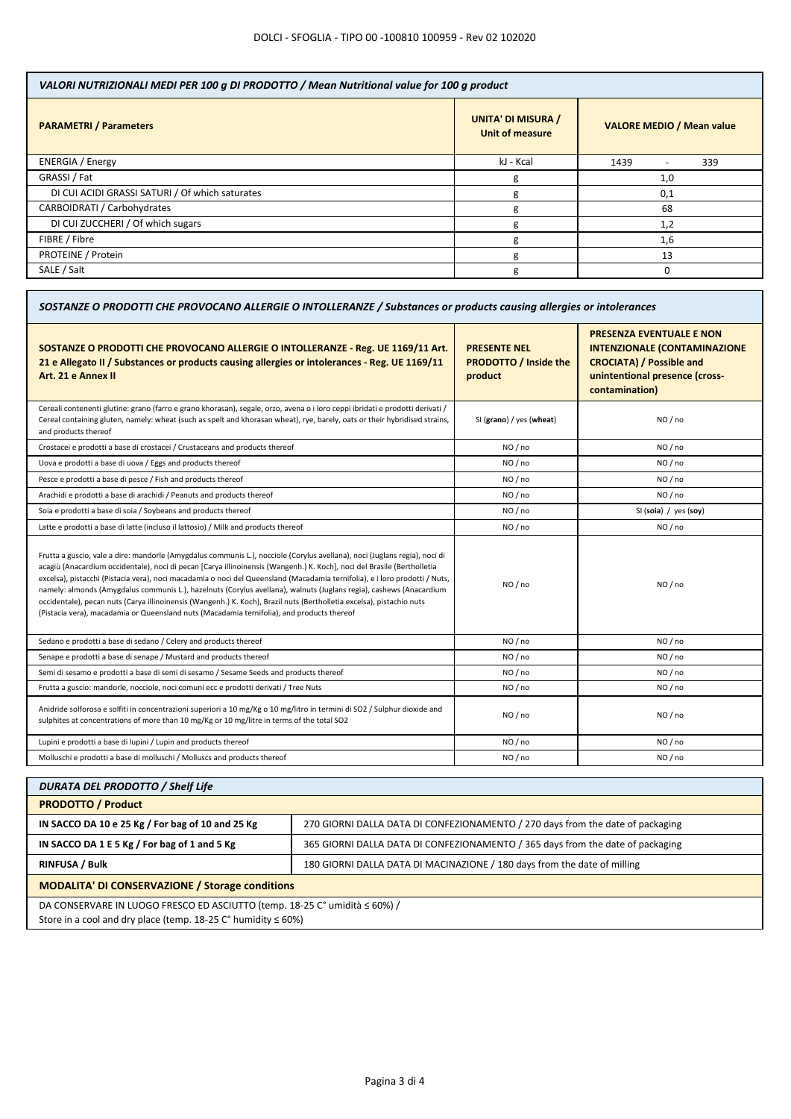| <b>UNITA' DI MISURA /</b><br><b>PARAMETRI / Parameters</b><br><b>VALORE MEDIO / Mean value</b><br><b>Unit of measure</b><br><b>ENERGIA</b> / Energy<br>kJ - Kcal<br>1439<br>339<br>GRASSI / Fat<br>1,0<br>g<br>DI CUI ACIDI GRASSI SATURI / Of which saturates<br>0,1<br>g<br>CARBOIDRATI / Carbohydrates<br>68<br>g<br>DI CUI ZUCCHERI / Of which sugars<br>1,2<br>g<br>FIBRE / Fibre<br>1,6<br>g | VALORI NUTRIZIONALI MEDI PER 100 g DI PRODOTTO / Mean Nutritional value for 100 g product |  |  |  |
|----------------------------------------------------------------------------------------------------------------------------------------------------------------------------------------------------------------------------------------------------------------------------------------------------------------------------------------------------------------------------------------------------|-------------------------------------------------------------------------------------------|--|--|--|
|                                                                                                                                                                                                                                                                                                                                                                                                    |                                                                                           |  |  |  |
|                                                                                                                                                                                                                                                                                                                                                                                                    |                                                                                           |  |  |  |
|                                                                                                                                                                                                                                                                                                                                                                                                    |                                                                                           |  |  |  |
|                                                                                                                                                                                                                                                                                                                                                                                                    |                                                                                           |  |  |  |
|                                                                                                                                                                                                                                                                                                                                                                                                    |                                                                                           |  |  |  |
|                                                                                                                                                                                                                                                                                                                                                                                                    |                                                                                           |  |  |  |
|                                                                                                                                                                                                                                                                                                                                                                                                    |                                                                                           |  |  |  |
| PROTEINE / Protein<br>13<br>g                                                                                                                                                                                                                                                                                                                                                                      |                                                                                           |  |  |  |
| SALE / Salt<br>g                                                                                                                                                                                                                                                                                                                                                                                   |                                                                                           |  |  |  |

| SOSTANZE O PRODOTTI CHE PROVOCANO ALLERGIE O INTOLLERANZE / Substances or products causing allergies or intolerances                                                                                                                                                                                                                                                                                                                                                                                                                                                                                                                                                                                                               |                                                                |                                                                                                                                                               |
|------------------------------------------------------------------------------------------------------------------------------------------------------------------------------------------------------------------------------------------------------------------------------------------------------------------------------------------------------------------------------------------------------------------------------------------------------------------------------------------------------------------------------------------------------------------------------------------------------------------------------------------------------------------------------------------------------------------------------------|----------------------------------------------------------------|---------------------------------------------------------------------------------------------------------------------------------------------------------------|
| SOSTANZE O PRODOTTI CHE PROVOCANO ALLERGIE O INTOLLERANZE - Reg. UE 1169/11 Art.<br>21 e Allegato II / Substances or products causing allergies or intolerances - Reg. UE 1169/11<br>Art. 21 e Annex II                                                                                                                                                                                                                                                                                                                                                                                                                                                                                                                            | <b>PRESENTE NEL</b><br><b>PRODOTTO / Inside the</b><br>product | <b>PRESENZA EVENTUALE E NON</b><br><b>INTENZIONALE (CONTAMINAZIONE</b><br><b>CROCIATA) / Possible and</b><br>unintentional presence (cross-<br>contamination) |
| Cereali contenenti glutine: grano (farro e grano khorasan), segale, orzo, avena o i loro ceppi ibridati e prodotti derivati /<br>Cereal containing gluten, namely: wheat (such as spelt and khorasan wheat), rye, barely, oats or their hybridised strains,<br>and products thereof                                                                                                                                                                                                                                                                                                                                                                                                                                                | SI (grano) / yes (wheat)                                       | NO / no                                                                                                                                                       |
| Crostacei e prodotti a base di crostacei / Crustaceans and products thereof                                                                                                                                                                                                                                                                                                                                                                                                                                                                                                                                                                                                                                                        | NO / no                                                        | NO / no                                                                                                                                                       |
| Uova e prodotti a base di uova / Eggs and products thereof                                                                                                                                                                                                                                                                                                                                                                                                                                                                                                                                                                                                                                                                         | NO/no                                                          | NO/no                                                                                                                                                         |
| Pesce e prodotti a base di pesce / Fish and products thereof                                                                                                                                                                                                                                                                                                                                                                                                                                                                                                                                                                                                                                                                       | NO / no                                                        | NO / no                                                                                                                                                       |
| Arachidi e prodotti a base di arachidi / Peanuts and products thereof                                                                                                                                                                                                                                                                                                                                                                                                                                                                                                                                                                                                                                                              | NO / no                                                        | NO / no                                                                                                                                                       |
| Soia e prodotti a base di soia / Soybeans and products thereof                                                                                                                                                                                                                                                                                                                                                                                                                                                                                                                                                                                                                                                                     | NO / no                                                        | SI (soia) / yes (soy)                                                                                                                                         |
| Latte e prodotti a base di latte (incluso il lattosio) / Milk and products thereof                                                                                                                                                                                                                                                                                                                                                                                                                                                                                                                                                                                                                                                 | NO / no                                                        | NO / no                                                                                                                                                       |
| Frutta a guscio, vale a dire: mandorle (Amygdalus communis L.), nocciole (Corylus avellana), noci (Juglans regia), noci di<br>acagiù (Anacardium occidentale), noci di pecan [Carya illinoinensis (Wangenh.) K. Koch], noci del Brasile (Bertholletia<br>excelsa), pistacchi (Pistacia vera), noci macadamia o noci del Queensland (Macadamia ternifolia), e i loro prodotti / Nuts,<br>namely: almonds (Amygdalus communis L.), hazelnuts (Corylus avellana), walnuts (Juglans regia), cashews (Anacardium<br>occidentale), pecan nuts (Carya illinoinensis (Wangenh.) K. Koch), Brazil nuts (Bertholletia excelsa), pistachio nuts<br>(Pistacia vera), macadamia or Queensland nuts (Macadamia ternifolia), and products thereof | NO / no                                                        | NO / no                                                                                                                                                       |
| Sedano e prodotti a base di sedano / Celery and products thereof                                                                                                                                                                                                                                                                                                                                                                                                                                                                                                                                                                                                                                                                   | NO / no                                                        | NO / no                                                                                                                                                       |
| Senape e prodotti a base di senape / Mustard and products thereof                                                                                                                                                                                                                                                                                                                                                                                                                                                                                                                                                                                                                                                                  | NO/no                                                          | NO/no                                                                                                                                                         |
| Semi di sesamo e prodotti a base di semi di sesamo / Sesame Seeds and products thereof                                                                                                                                                                                                                                                                                                                                                                                                                                                                                                                                                                                                                                             | NO / no                                                        | NO / no                                                                                                                                                       |
| Frutta a guscio: mandorle, nocciole, noci comuni ecc e prodotti derivati / Tree Nuts                                                                                                                                                                                                                                                                                                                                                                                                                                                                                                                                                                                                                                               | NO / no                                                        | NO / no                                                                                                                                                       |
| Anidride solforosa e solfiti in concentrazioni superiori a 10 mg/Kg o 10 mg/litro in termini di SO2 / Sulphur dioxide and<br>sulphites at concentrations of more than 10 mg/Kg or 10 mg/litre in terms of the total SO2                                                                                                                                                                                                                                                                                                                                                                                                                                                                                                            | NO / no                                                        | NO / no                                                                                                                                                       |
| Lupini e prodotti a base di lupini / Lupin and products thereof                                                                                                                                                                                                                                                                                                                                                                                                                                                                                                                                                                                                                                                                    | NO / no                                                        | NO / no                                                                                                                                                       |
| Molluschi e prodotti a base di molluschi / Molluscs and products thereof                                                                                                                                                                                                                                                                                                                                                                                                                                                                                                                                                                                                                                                           | NO/no                                                          | NO/no                                                                                                                                                         |

| <b>DURATA DEL PRODOTTO / Shelf Life</b>                                                                                                             |                                                                                |  |
|-----------------------------------------------------------------------------------------------------------------------------------------------------|--------------------------------------------------------------------------------|--|
| <b>PRODOTTO / Product</b>                                                                                                                           |                                                                                |  |
| IN SACCO DA 10 e 25 Kg / For bag of 10 and 25 Kg                                                                                                    | 270 GIORNI DALLA DATA DI CONFEZIONAMENTO / 270 days from the date of packaging |  |
| IN SACCO DA 1 E 5 Kg / For bag of 1 and 5 Kg                                                                                                        | 365 GIORNI DALLA DATA DI CONFEZIONAMENTO / 365 days from the date of packaging |  |
| <b>RINFUSA / Bulk</b>                                                                                                                               | 180 GIORNI DALLA DATA DI MACINAZIONE / 180 days from the date of milling       |  |
| <b>MODALITA' DI CONSERVAZIONE / Storage conditions</b>                                                                                              |                                                                                |  |
| DA CONSERVARE IN LUOGO FRESCO ED ASCIUTTO (temp. 18-25 C° umidità ≤ 60%) /<br>Store in a cool and dry place (temp $18-25$ C° humidity $\leq 60\%$ ) |                                                                                |  |

Store in a cool and dry place (temp. 18-25 C° humidity ≤ 60%)